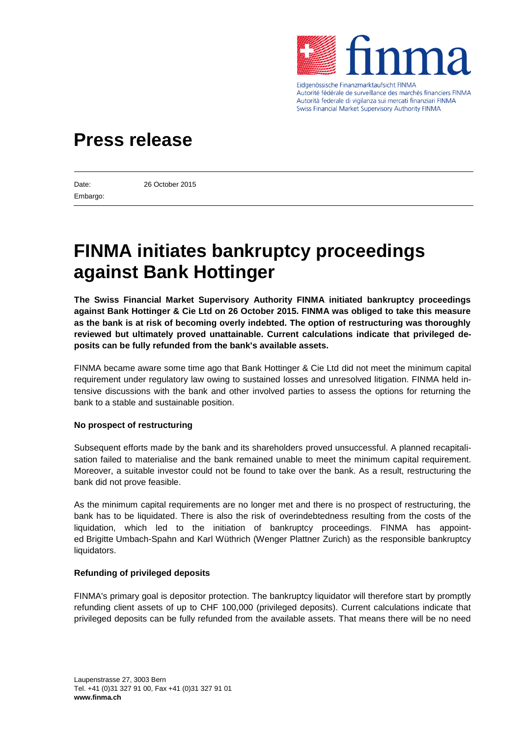

Eidgenössische Finanzmarktaufsicht FINMA Autorité fédérale de surveillance des marchés financiers FINMA Autorità federale di vigilanza sui mercati finanziari FINMA Swiss Financial Market Supervisory Authority FINMA

## **Press release**

Embargo:

Date: 26 October 2015

# **FINMA initiates bankruptcy proceedings against Bank Hottinger**

**The Swiss Financial Market Supervisory Authority FINMA initiated bankruptcy proceedings against Bank Hottinger & Cie Ltd on 26 October 2015. FINMA was obliged to take this measure as the bank is at risk of becoming overly indebted. The option of restructuring was thoroughly reviewed but ultimately proved unattainable. Current calculations indicate that privileged deposits can be fully refunded from the bank's available assets.**

FINMA became aware some time ago that Bank Hottinger & Cie Ltd did not meet the minimum capital requirement under regulatory law owing to sustained losses and unresolved litigation. FINMA held intensive discussions with the bank and other involved parties to assess the options for returning the bank to a stable and sustainable position.

#### **No prospect of restructuring**

Subsequent efforts made by the bank and its shareholders proved unsuccessful. A planned recapitalisation failed to materialise and the bank remained unable to meet the minimum capital requirement. Moreover, a suitable investor could not be found to take over the bank. As a result, restructuring the bank did not prove feasible.

As the minimum capital requirements are no longer met and there is no prospect of restructuring, the bank has to be liquidated. There is also the risk of overindebtedness resulting from the costs of the liquidation, which led to the initiation of bankruptcy proceedings. FINMA has appointed Brigitte Umbach-Spahn and Karl Wüthrich (Wenger Plattner Zurich) as the responsible bankruptcy liquidators.

#### **Refunding of privileged deposits**

FINMA's primary goal is depositor protection. The bankruptcy liquidator will therefore start by promptly refunding client assets of up to CHF 100,000 (privileged deposits). Current calculations indicate that privileged deposits can be fully refunded from the available assets. That means there will be no need